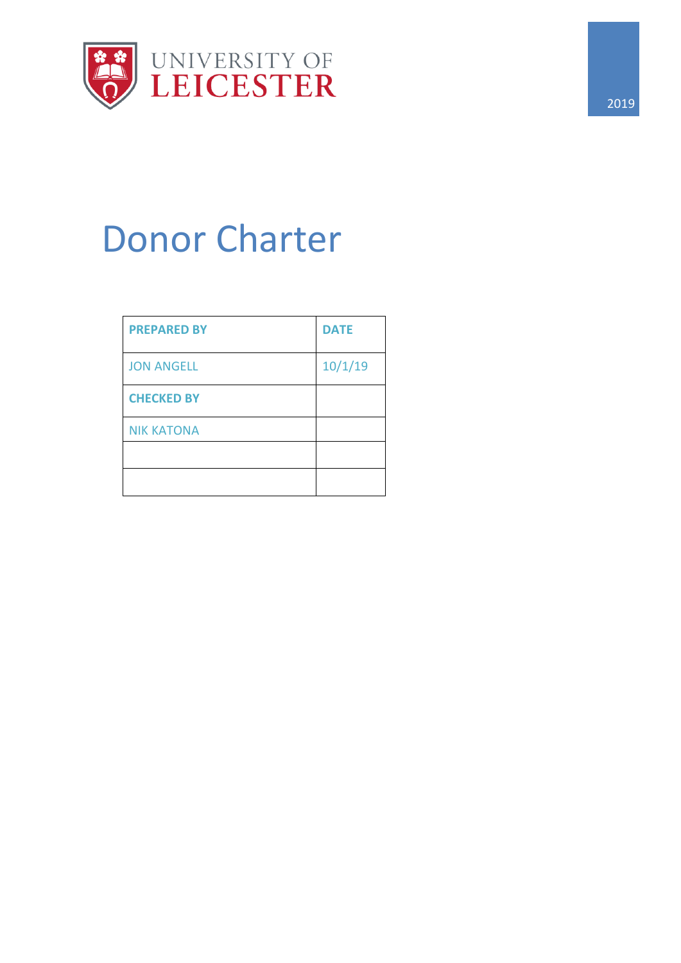

# Donor Charter

| <b>PREPARED BY</b> | <b>DATE</b> |
|--------------------|-------------|
| <b>JON ANGELL</b>  | 10/1/19     |
| <b>CHECKED BY</b>  |             |
| <b>NIK KATONA</b>  |             |
|                    |             |
|                    |             |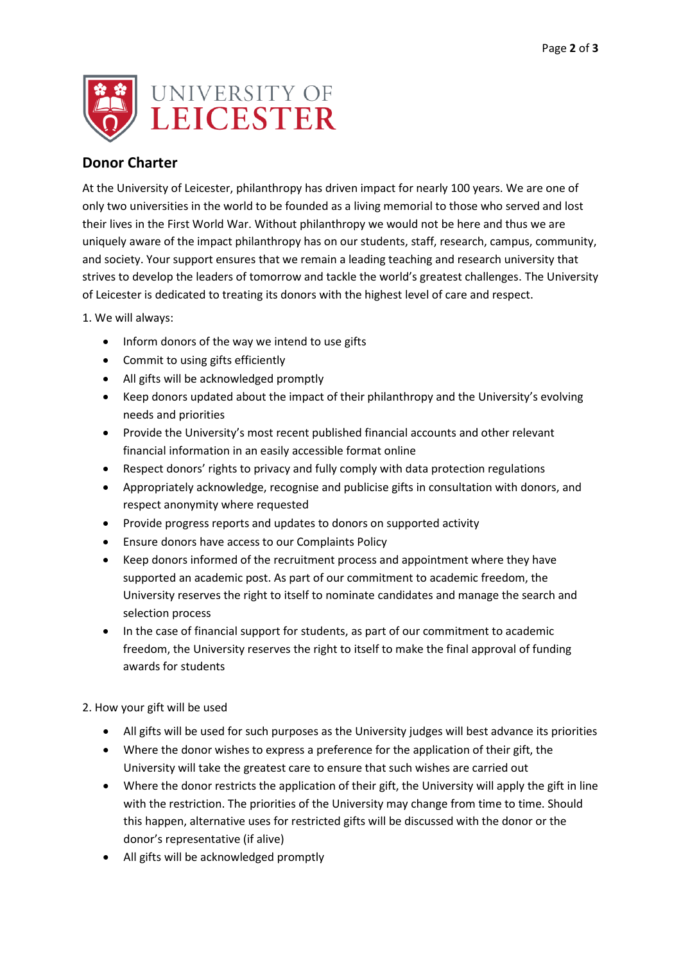

# **Donor Charter**

At the University of Leicester, philanthropy has driven impact for nearly 100 years. We are one of only two universities in the world to be founded as a living memorial to those who served and lost their lives in the First World War. Without philanthropy we would not be here and thus we are uniquely aware of the impact philanthropy has on our students, staff, research, campus, community, and society. Your support ensures that we remain a leading teaching and research university that strives to develop the leaders of tomorrow and tackle the world's greatest challenges. The University of Leicester is dedicated to treating its donors with the highest level of care and respect.

1. We will always:

- Inform donors of the way we intend to use gifts
- Commit to using gifts efficiently
- All gifts will be acknowledged promptly
- Keep donors updated about the impact of their philanthropy and the University's evolving needs and priorities
- Provide the University's most recent published financial accounts and other relevant financial information in an easily accessible format online
- Respect donors' rights to privacy and fully comply with data protection regulations
- Appropriately acknowledge, recognise and publicise gifts in consultation with donors, and respect anonymity where requested
- Provide progress reports and updates to donors on supported activity
- Ensure donors have access to our Complaints Policy
- Keep donors informed of the recruitment process and appointment where they have supported an academic post. As part of our commitment to academic freedom, the University reserves the right to itself to nominate candidates and manage the search and selection process
- In the case of financial support for students, as part of our commitment to academic freedom, the University reserves the right to itself to make the final approval of funding awards for students

2. How your gift will be used

- All gifts will be used for such purposes as the University judges will best advance its priorities
- Where the donor wishes to express a preference for the application of their gift, the University will take the greatest care to ensure that such wishes are carried out
- Where the donor restricts the application of their gift, the University will apply the gift in line with the restriction. The priorities of the University may change from time to time. Should this happen, alternative uses for restricted gifts will be discussed with the donor or the donor's representative (if alive)
- All gifts will be acknowledged promptly